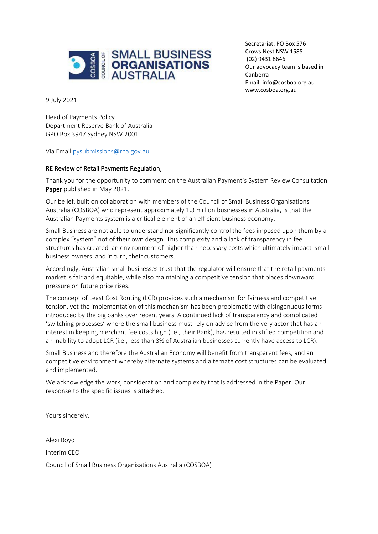

Crows Nest NSW 1585 Our advocacy team is based in Canberra Secretariat: PO Box 576 (02) 9431 8646 Email[: info@cosboa.org.au](mailto:info@cosboa.org.au) [www.cosboa.org.au](http://www.cosboa.org.au/)

9 July 2021

Head of Payments Policy Department Reserve Bank of Australia GPO Box 3947 Sydney NSW 2001

Via Email [pysubmissions@rba.gov.au](mailto:pysubmissions@rba.gov.au)

#### RE Review of Retail Payments Regulation,

Thank you for the opportunity to comment on the Australian Payment's System Review Consultation Paper published in May 2021.

Our belief, built on collaboration with members of the Council of Small Business Organisations Australia (COSBOA) who represent approximately 1.3 million businesses in Australia, is that the Australian Payments system is a critical element of an efficient business economy.

Small Business are not able to understand nor significantly control the fees imposed upon them by a complex "system" not of their own design. This complexity and a lack of transparency in fee structures has created an environment of higher than necessary costs which ultimately impact small business owners and in turn, their customers.

Accordingly, Australian small businesses trust that the regulator will ensure that the retail payments market is fair and equitable, while also maintaining a competitive tension that places downward pressure on future price rises.

The concept of Least Cost Routing (LCR) provides such a mechanism for fairness and competitive tension, yet the implementation of this mechanism has been problematic with disingenuous forms introduced by the big banks over recent years. A continued lack of transparency and complicated 'switching processes' where the small business must rely on advice from the very actor that has an interest in keeping merchant fee costs high (i.e., their Bank), has resulted in stifled competition and an inability to adopt LCR (i.e., less than 8% of Australian businesses currently have access to LCR).

Small Business and therefore the Australian Economy will benefit from transparent fees, and an competitive environment whereby alternate systems and alternate cost structures can be evaluated and implemented.

We acknowledge the work, consideration and complexity that is addressed in the Paper. Our response to the specific issues is attached.

Yours sincerely,

Alexi Boyd Interim CEO Council of Small Business Organisations Australia (COSBOA)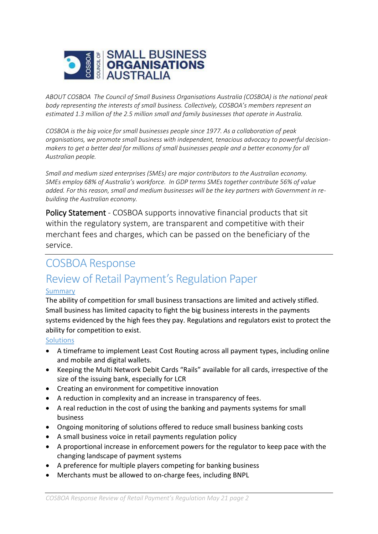

*ABOUT COSBOA The Council of Small Business Organisations Australia (COSBOA) is the national peak body representing the interests of small business. Collectively, COSBOA's members represent an estimated 1.3 million of the 2.5 million small and family businesses that operate in Australia.*

*COSBOA is the big voice for small businesses people since 1977. As a collaboration of peak organisations, we promote small business with independent, tenacious advocacy to powerful decisionmakers to get a better deal for millions of small businesses people and a better economy for all Australian people.*

*Small and medium sized enterprises (SMEs) are major contributors to the Australian economy. SMEs employ 68% of Australia's workforce. In GDP terms SMEs together contribute 56% of value added. For this reason, small and medium businesses will be the key partners with Government in rebuilding the Australian economy.* 

Policy Statement - COSBOA supports innovative financial products that sit within the regulatory system, are transparent and competitive with their merchant fees and charges, which can be passed on the beneficiary of the service.

# COSBOA Response Review of Retail Payment's Regulation Paper

### Summary

The ability of competition for small business transactions are limited and actively stifled. Small business has limited capacity to fight the big business interests in the payments systems evidenced by the high fees they pay. Regulations and regulators exist to protect the ability for competition to exist.

### **Solutions**

- A timeframe to implement Least Cost Routing across all payment types, including online and mobile and digital wallets.
- Keeping the Multi Network Debit Cards "Rails" available for all cards, irrespective of the size of the issuing bank, especially for LCR
- Creating an environment for competitive innovation
- A reduction in complexity and an increase in transparency of fees.
- A real reduction in the cost of using the banking and payments systems for small business
- Ongoing monitoring of solutions offered to reduce small business banking costs
- A small business voice in retail payments regulation policy
- A proportional increase in enforcement powers for the regulator to keep pace with the changing landscape of payment systems
- A preference for multiple players competing for banking business
- Merchants must be allowed to on-charge fees, including BNPL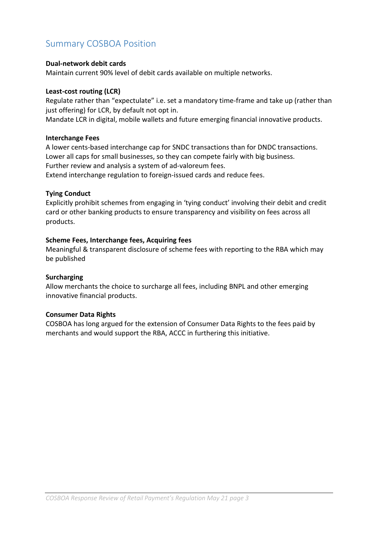# Summary COSBOA Position

#### **Dual-network debit cards**

Maintain current 90% level of debit cards available on multiple networks.

#### **Least-cost routing (LCR)**

Regulate rather than "expectulate" i.e. set a mandatory time-frame and take up (rather than just offering) for LCR, by default not opt in.

Mandate LCR in digital, mobile wallets and future emerging financial innovative products.

#### **Interchange Fees**

A lower cents-based interchange cap for SNDC transactions than for DNDC transactions. Lower all caps for small businesses, so they can compete fairly with big business. Further review and analysis a system of ad-valoreum fees. Extend interchange regulation to foreign-issued cards and reduce fees.

#### **Tying Conduct**

Explicitly prohibit schemes from engaging in 'tying conduct' involving their debit and credit card or other banking products to ensure transparency and visibility on fees across all products.

#### **Scheme Fees, Interchange fees, Acquiring fees**

Meaningful & transparent disclosure of scheme fees with reporting to the RBA which may be published

#### **Surcharging**

Allow merchants the choice to surcharge all fees, including BNPL and other emerging innovative financial products.

#### **Consumer Data Rights**

COSBOA has long argued for the extension of Consumer Data Rights to the fees paid by merchants and would support the RBA, ACCC in furthering this initiative.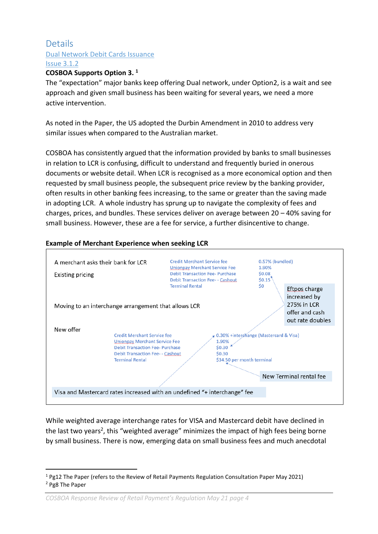# Details Dual Network Debit Cards Issuance Issue 3.1.2

#### **COSBOA Supports Option 3. <sup>1</sup>**

The "expectation" major banks keep offering Dual network, under Option2, is a wait and see approach and given small business has been waiting for several years, we need a more active intervention.

As noted in the Paper, the US adopted the Durbin Amendment in 2010 to address very similar issues when compared to the Australian market.

COSBOA has consistently argued that the information provided by banks to small businesses in relation to LCR is confusing, difficult to understand and frequently buried in onerous documents or website detail. When LCR is recognised as a more economical option and then requested by small business people, the subsequent price review by the banking provider, often results in other banking fees increasing, to the same or greater than the saving made in adopting LCR. A whole industry has sprung up to navigate the complexity of fees and charges, prices, and bundles. These services deliver on average between  $20 - 40\%$  saving for small business. However, these are a fee for service, a further disincentive to change.

#### **Example of Merchant Experience when seeking LCR**



While weighted average interchange rates for VISA and Mastercard debit have declined in the last two years<sup>2</sup>, this "weighted average" minimizes the impact of high fees being borne by small business. There is now, emerging data on small business fees and much anecdotal

<sup>1</sup> Pg12 The Paper (refers to the Review of Retail Payments Regulation Consultation Paper May 2021) <sup>2</sup> Pg8 The Paper

*COSBOA Response Review of Retail Payment's Regulation May 21 page 4*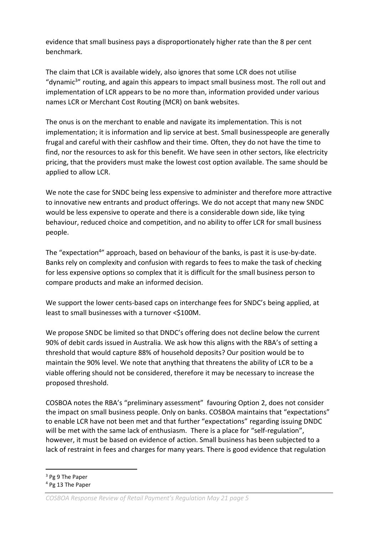evidence that small business pays a disproportionately higher rate than the 8 per cent benchmark.

The claim that LCR is available widely, also ignores that some LCR does not utilise "dynamic<sup>3</sup>" routing, and again this appears to impact small business most. The roll out and implementation of LCR appears to be no more than, information provided under various names LCR or Merchant Cost Routing (MCR) on bank websites.

The onus is on the merchant to enable and navigate its implementation. This is not implementation; it is information and lip service at best. Small businesspeople are generally frugal and careful with their cashflow and their time. Often, they do not have the time to find, nor the resources to ask for this benefit. We have seen in other sectors, like electricity pricing, that the providers must make the lowest cost option available. The same should be applied to allow LCR.

We note the case for SNDC being less expensive to administer and therefore more attractive to innovative new entrants and product offerings. We do not accept that many new SNDC would be less expensive to operate and there is a considerable down side, like tying behaviour, reduced choice and competition, and no ability to offer LCR for small business people.

The "expectation<sup>4</sup>" approach, based on behaviour of the banks, is past it is use-by-date. Banks rely on complexity and confusion with regards to fees to make the task of checking for less expensive options so complex that it is difficult for the small business person to compare products and make an informed decision.

We support the lower cents-based caps on interchange fees for SNDC's being applied, at least to small businesses with a turnover <\$100M.

We propose SNDC be limited so that DNDC's offering does not decline below the current 90% of debit cards issued in Australia. We ask how this aligns with the RBA's of setting a threshold that would capture 88% of household deposits? Our position would be to maintain the 90% level. We note that anything that threatens the ability of LCR to be a viable offering should not be considered, therefore it may be necessary to increase the proposed threshold.

COSBOA notes the RBA's "preliminary assessment" favouring Option 2, does not consider the impact on small business people. Only on banks. COSBOA maintains that "expectations" to enable LCR have not been met and that further "expectations" regarding issuing DNDC will be met with the same lack of enthusiasm. There is a place for "self-regulation", however, it must be based on evidence of action. Small business has been subjected to a lack of restraint in fees and charges for many years. There is good evidence that regulation

<sup>3</sup> Pg 9 The Paper

<sup>4</sup> Pg 13 The Paper

*COSBOA Response Review of Retail Payment's Regulation May 21 page 5*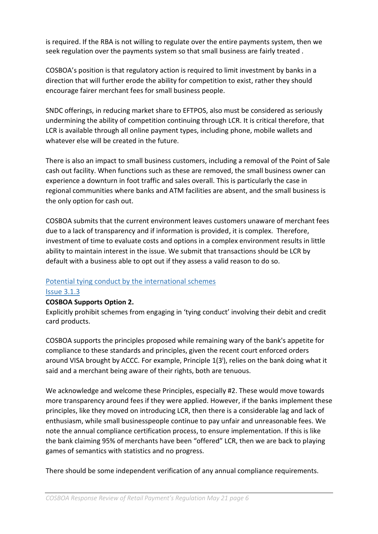is required. If the RBA is not willing to regulate over the entire payments system, then we seek regulation over the payments system so that small business are fairly treated .

COSBOA's position is that regulatory action is required to limit investment by banks in a direction that will further erode the ability for competition to exist, rather they should encourage fairer merchant fees for small business people.

SNDC offerings, in reducing market share to EFTPOS, also must be considered as seriously undermining the ability of competition continuing through LCR. It is critical therefore, that LCR is available through all online payment types, including phone, mobile wallets and whatever else will be created in the future.

There is also an impact to small business customers, including a removal of the Point of Sale cash out facility. When functions such as these are removed, the small business owner can experience a downturn in foot traffic and sales overall. This is particularly the case in regional communities where banks and ATM facilities are absent, and the small business is the only option for cash out.

COSBOA submits that the current environment leaves customers unaware of merchant fees due to a lack of transparency and if information is provided, it is complex. Therefore, investment of time to evaluate costs and options in a complex environment results in little ability to maintain interest in the issue. We submit that transactions should be LCR by default with a business able to opt out if they assess a valid reason to do so.

### Potential tying conduct by the international schemes

### Issue 3.1.3

### **COSBOA Supports Option 2.**

Explicitly prohibit schemes from engaging in 'tying conduct' involving their debit and credit card products.

COSBOA supports the principles proposed while remaining wary of the bank's appetite for compliance to these standards and principles, given the recent court enforced orders around VISA brought by ACCC. For example, Principle 1(3<sup>i</sup>), relies on the bank doing what it said and a merchant being aware of their rights, both are tenuous.

We acknowledge and welcome these Principles, especially #2. These would move towards more transparency around fees if they were applied. However, if the banks implement these principles, like they moved on introducing LCR, then there is a considerable lag and lack of enthusiasm, while small businesspeople continue to pay unfair and unreasonable fees. We note the annual compliance certification process, to ensure implementation. If this is like the bank claiming 95% of merchants have been "offered" LCR, then we are back to playing games of semantics with statistics and no progress.

There should be some independent verification of any annual compliance requirements.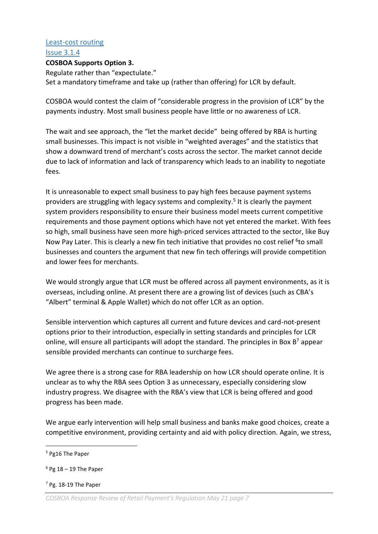#### Least-cost routing

#### Issue 3.1.4

#### **COSBOA Supports Option 3.**

Regulate rather than "expectulate." Set a mandatory timeframe and take up (rather than offering) for LCR by default.

COSBOA would contest the claim of "considerable progress in the provision of LCR" by the payments industry. Most small business people have little or no awareness of LCR.

The wait and see approach, the "let the market decide" being offered by RBA is hurting small businesses. This impact is not visible in "weighted averages" and the statistics that show a downward trend of merchant's costs across the sector. The market cannot decide due to lack of information and lack of transparency which leads to an inability to negotiate fees.

It is unreasonable to expect small business to pay high fees because payment systems providers are struggling with legacy systems and complexity.<sup>5</sup> It is clearly the payment system providers responsibility to ensure their business model meets current competitive requirements and those payment options which have not yet entered the market. With fees so high, small business have seen more high-priced services attracted to the sector, like Buy Now Pay Later. This is clearly a new fin tech initiative that provides no cost relief <sup>6</sup>to small businesses and counters the argument that new fin tech offerings will provide competition and lower fees for merchants.

We would strongly argue that LCR must be offered across all payment environments, as it is overseas, including online. At present there are a growing list of devices (such as CBA's "Albert" terminal & Apple Wallet) which do not offer LCR as an option.

Sensible intervention which captures all current and future devices and card-not-present options prior to their introduction, especially in setting standards and principles for LCR online, will ensure all participants will adopt the standard. The principles in Box  $B^7$  appear sensible provided merchants can continue to surcharge fees.

We agree there is a strong case for RBA leadership on how LCR should operate online. It is unclear as to why the RBA sees Option 3 as unnecessary, especially considering slow industry progress. We disagree with the RBA's view that LCR is being offered and good progress has been made.

We argue early intervention will help small business and banks make good choices, create a competitive environment, providing certainty and aid with policy direction. Again, we stress,

<sup>7</sup> Pg. 18-19 The Paper

<sup>5</sup> Pg16 The Paper

 $6$  Pg 18 – 19 The Paper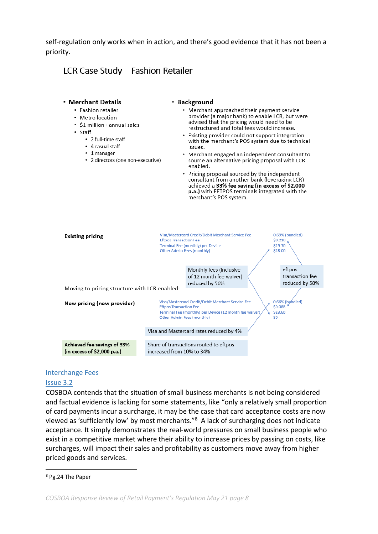self-regulation only works when in action, and there's good evidence that it has not been a priority.

# LCR Case Study - Fashion Retailer



#### Interchange Fees

#### Issue 3.2

COSBOA contends that the situation of small business merchants is not being considered and factual evidence is lacking for some statements, like "only a relatively small proportion of card payments incur a surcharge, it may be the case that card acceptance costs are now viewed as 'sufficiently low' by most merchants."<sup>8</sup> A lack of surcharging does not indicate acceptance. It simply demonstrates the real-world pressures on small business people who exist in a competitive market where their ability to increase prices by passing on costs, like surcharges, will impact their sales and profitability as customers move away from higher priced goods and services.

*COSBOA Response Review of Retail Payment's Regulation May 21 page 8*

<sup>8</sup> Pg.24 The Paper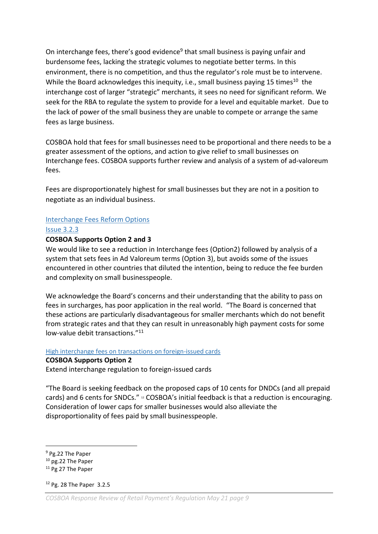On interchange fees, there's good evidence<sup>9</sup> that small business is paying unfair and burdensome fees, lacking the strategic volumes to negotiate better terms. In this environment, there is no competition, and thus the regulator's role must be to intervene. While the Board acknowledges this inequity, i.e., small business paying 15 times<sup>10</sup> the interchange cost of larger "strategic" merchants, it sees no need for significant reform. We seek for the RBA to regulate the system to provide for a level and equitable market. Due to the lack of power of the small business they are unable to compete or arrange the same fees as large business.

COSBOA hold that fees for small businesses need to be proportional and there needs to be a greater assessment of the options, and action to give relief to small businesses on Interchange fees. COSBOA supports further review and analysis of a system of ad-valoreum fees.

Fees are disproportionately highest for small businesses but they are not in a position to negotiate as an individual business.

#### Interchange Fees Reform Options

#### Issue 3.2.3

#### **COSBOA Supports Option 2 and 3**

We would like to see a reduction in Interchange fees (Option2) followed by analysis of a system that sets fees in Ad Valoreum terms (Option 3), but avoids some of the issues encountered in other countries that diluted the intention, being to reduce the fee burden and complexity on small businesspeople.

We acknowledge the Board's concerns and their understanding that the ability to pass on fees in surcharges, has poor application in the real world. "The Board is concerned that these actions are particularly disadvantageous for smaller merchants which do not benefit from strategic rates and that they can result in unreasonably high payment costs for some low-value debit transactions."<sup>11</sup>

# High interchange fees on transactions on foreign-issued cards

#### **COSBOA Supports Option 2**

Extend interchange regulation to foreign-issued cards

"The Board is seeking feedback on the proposed caps of 10 cents for DNDCs (and all prepaid cards) and 6 cents for SNDCs." 12 COSBOA's initial feedback is that a reduction is encouraging. Consideration of lower caps for smaller businesses would also alleviate the disproportionality of fees paid by small businesspeople.

<sup>9</sup> Pg.22 The Paper

<sup>&</sup>lt;sup>10</sup> pg.22 The Paper

<sup>&</sup>lt;sup>11</sup> Pg 27 The Paper

<sup>12</sup> Pg. 28 The Paper 3.2.5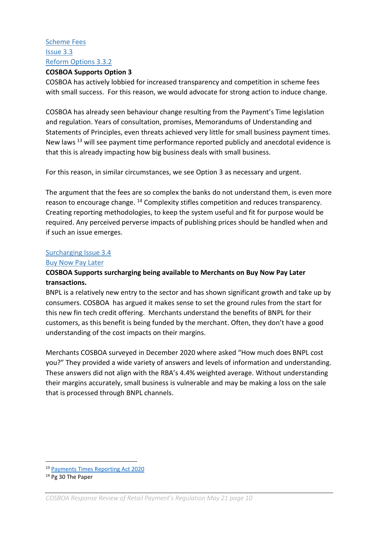# Scheme Fees Issue 3.3 Reform Options 3.3.2

#### **COSBOA Supports Option 3**

COSBOA has actively lobbied for increased transparency and competition in scheme fees with small success. For this reason, we would advocate for strong action to induce change.

COSBOA has already seen behaviour change resulting from the Payment's Time legislation and regulation. Years of consultation, promises, Memorandums of Understanding and Statements of Principles, even threats achieved very little for small business payment times. New laws <sup>13</sup> will see payment time performance reported publicly and anecdotal evidence is that this is already impacting how big business deals with small business.

For this reason, in similar circumstances, we see Option 3 as necessary and urgent.

The argument that the fees are so complex the banks do not understand them, is even more reason to encourage change. <sup>14</sup> Complexity stifles competition and reduces transparency. Creating reporting methodologies, to keep the system useful and fit for purpose would be required. Any perceived perverse impacts of publishing prices should be handled when and if such an issue emerges.

#### Surcharging Issue 3.4

#### Buy Now Pay Later

#### **COSBOA Supports surcharging being available to Merchants on Buy Now Pay Later transactions.**

BNPL is a relatively new entry to the sector and has shown significant growth and take up by consumers. COSBOA has argued it makes sense to set the ground rules from the start for this new fin tech credit offering. Merchants understand the benefits of BNPL for their customers, as this benefit is being funded by the merchant. Often, they don't have a good understanding of the cost impacts on their margins.

Merchants COSBOA surveyed in December 2020 where asked "How much does BNPL cost you?" They provided a wide variety of answers and levels of information and understanding. These answers did not align with the RBA's 4.4% weighted average. Without understanding their margins accurately, small business is vulnerable and may be making a loss on the sale that is processed through BNPL channels.

<sup>13</sup> [Payments Times Reporting Act 2020](https://www.legislation.gov.au/Details/C2020A00091)

<sup>14</sup> Pg 30 The Paper

*COSBOA Response Review of Retail Payment's Regulation May 21 page 10*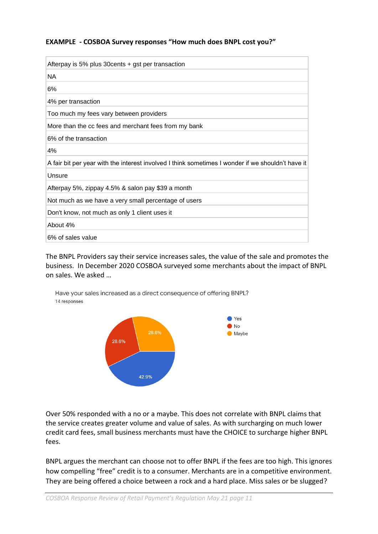#### **EXAMPLE - COSBOA Survey responses "How much does BNPL cost you?"**

| Afterpay is 5% plus 30 cents + gst per transaction                                                |
|---------------------------------------------------------------------------------------------------|
| NA                                                                                                |
| 6%                                                                                                |
| 4% per transaction                                                                                |
| Too much my fees vary between providers                                                           |
| More than the cc fees and merchant fees from my bank                                              |
| 6% of the transaction                                                                             |
| 4%                                                                                                |
| A fair bit per year with the interest involved I think sometimes I wonder if we shouldn't have it |
| Unsure                                                                                            |
| Afterpay 5%, zippay 4.5% & salon pay \$39 a month                                                 |
| Not much as we have a very small percentage of users                                              |
| Don't know, not much as only 1 client uses it                                                     |
| About 4%                                                                                          |
| 6% of sales value                                                                                 |

The BNPL Providers say their service increases sales, the value of the sale and promotes the business. In December 2020 COSBOA surveyed some merchants about the impact of BNPL on sales. We asked …

Have your sales increased as a direct consequence of offering BNPL? 14 responses



Over 50% responded with a no or a maybe. This does not correlate with BNPL claims that the service creates greater volume and value of sales. As with surcharging on much lower credit card fees, small business merchants must have the CHOICE to surcharge higher BNPL fees.

BNPL argues the merchant can choose not to offer BNPL if the fees are too high. This ignores how compelling "free" credit is to a consumer. Merchants are in a competitive environment. They are being offered a choice between a rock and a hard place. Miss sales or be slugged?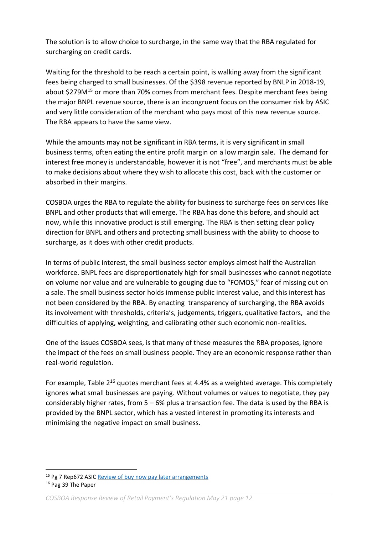The solution is to allow choice to surcharge, in the same way that the RBA regulated for surcharging on credit cards.

Waiting for the threshold to be reach a certain point, is walking away from the significant fees being charged to small businesses. Of the \$398 revenue reported by BNLP in 2018-19, about \$279M<sup>15</sup> or more than 70% comes from merchant fees. Despite merchant fees being the major BNPL revenue source, there is an incongruent focus on the consumer risk by ASIC and very little consideration of the merchant who pays most of this new revenue source. The RBA appears to have the same view.

While the amounts may not be significant in RBA terms, it is very significant in small business terms, often eating the entire profit margin on a low margin sale. The demand for interest free money is understandable, however it is not "free", and merchants must be able to make decisions about where they wish to allocate this cost, back with the customer or absorbed in their margins.

COSBOA urges the RBA to regulate the ability for business to surcharge fees on services like BNPL and other products that will emerge. The RBA has done this before, and should act now, while this innovative product is still emerging. The RBA is then setting clear policy direction for BNPL and others and protecting small business with the ability to choose to surcharge, as it does with other credit products.

In terms of public interest, the small business sector employs almost half the Australian workforce. BNPL fees are disproportionately high for small businesses who cannot negotiate on volume nor value and are vulnerable to gouging due to "FOMOS," fear of missing out on a sale. The small business sector holds immense public interest value, and this interest has not been considered by the RBA. By enacting transparency of surcharging, the RBA avoids its involvement with thresholds, criteria's, judgements, triggers, qualitative factors, and the difficulties of applying, weighting, and calibrating other such economic non-realities.

One of the issues COSBOA sees, is that many of these measures the RBA proposes, ignore the impact of the fees on small business people. They are an economic response rather than real-world regulation.

For example, Table 2<sup>16</sup> quotes merchant fees at 4.4% as a weighted average. This completely ignores what small businesses are paying. Without volumes or values to negotiate, they pay considerably higher rates, from  $5 - 6\%$  plus a transaction fee. The data is used by the RBA is provided by the BNPL sector, which has a vested interest in promoting its interests and minimising the negative impact on small business.

<sup>15</sup> Pg 7 Rep672 ASIC [Review of buy now pay later arrangements](https://asic.gov.au/regulatory-resources/find-a-document/reports/rep-672-buy-now-pay-later-an-industry-update/)

<sup>&</sup>lt;sup>16</sup> Pag 39 The Paper

*COSBOA Response Review of Retail Payment's Regulation May 21 page 12*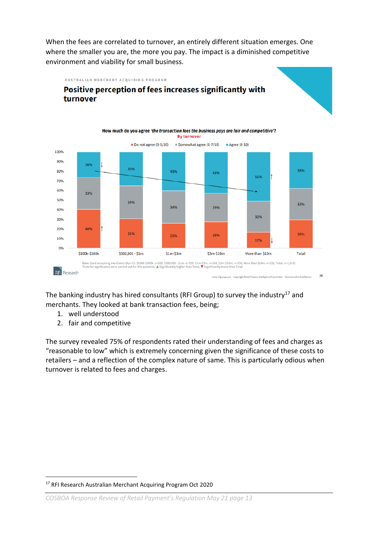When the fees are correlated to turnover, an entirely different situation emerges. One where the smaller you are, the more you pay. The impact is a diminished competitive environment and viability for small business.

AUSTRALIAN MERCHANT ACQUIRING PROGRAM

# Positive perception of fees increases significantly with turnover



The banking industry has hired consultants (RFI Group) to survey the industry<sup>17</sup> and merchants. They looked at bank transaction fees, being;

- 1. well understood
- 2. fair and competitive

The survey revealed 75% of respondents rated their understanding of fees and charges as "reasonable to low" which is extremely concerning given the significance of these costs to retailers – and a reflection of the complex nature of same. This is particularly odious when turnover is related to fees and charges.

<sup>17</sup> RFI Research Australian Merchant Acquiring Program Oct 2020

*COSBOA Response Review of Retail Payment's Regulation May 21 page 13*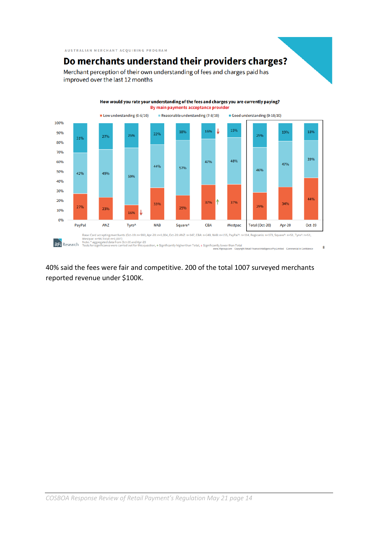AUSTRALIAN MERCHANT ACQUIRING PROGRAM

# Do merchants understand their providers charges?

Merchant perception of their own understanding of fees and charges paid has improved over the last 12 months



How would you rate your understanding of the fees and charges you are currently paying?

8 ance Intelligence Pty Limited Commercial in Confidence

40% said the fees were fair and competitive. 200 of the total 1007 surveyed merchants reported revenue under \$100K.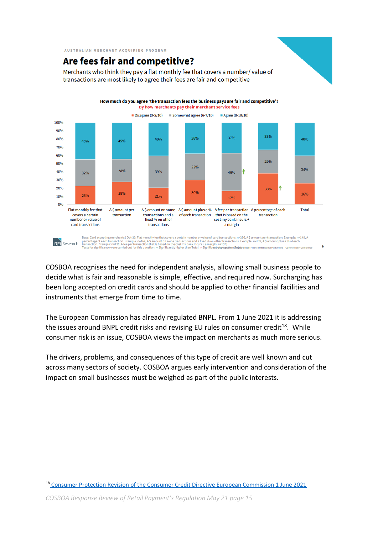AUSTRALIAN MERCHANT ACQUIRING PROGRAM

# Are fees fair and competitive?

Merchants who think they pay a flat monthly fee that covers a number/value of transactions are most likely to agree their fees are fair and competitive



COSBOA recognises the need for independent analysis, allowing small business people to decide what is fair and reasonable is simple, effective, and required now. Surcharging has been long accepted on credit cards and should be applied to other financial facilities and instruments that emerge from time to time.

The European Commission has already regulated BNPL. From 1 June 2021 it is addressing the issues around BNPL credit risks and revising EU rules on consumer credit<sup>18</sup>. While consumer risk is an issue, COSBOA views the impact on merchants as much more serious.

The drivers, problems, and consequences of this type of credit are well known and cut across many sectors of society. COSBOA argues early intervention and consideration of the impact on small businesses must be weighed as part of the public interests.

<sup>18</sup> [Consumer Protection Revision of the Consumer Credit Directive European Commission 1 June 2021](https://ec.europa.eu/info/sites/default/files/consumer_credit_review_-_factsheet.pdf)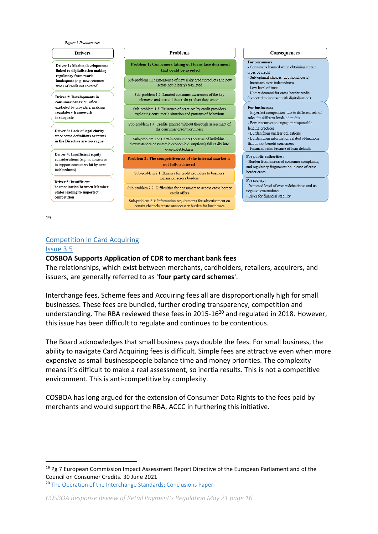

Driver 1: Market developments linked to digitalisation making regulatory framework inadequate (e.g. new common tynes of credit not covered)

**Driver 2: Developments in** consumer behavior, often exploited by providers, making regulatory framework inadequate

Driver 3: Lack of legal clarity since some definitions or terms in the Directive are too vague

Driver 4: Insufficient equity considerations (e.g. no measures to support consumers hit by overindebtedness)

**Driver 5: Insufficient** harmonisation between Member **States leading to imperfect** competition

#### **Problems**

Problem 1: Consumers taking out loans face detriment that could be avoided

Sub-problem 1.1: Emergence of new risky credit products and new actors not (clearly) regulated

Sub-problem 1.2: Limited consumer awareness of the key elements and costs of the credit product they obtain

Sub-problem 1.3: Existence of practices by credit providers exploiting consumer's situation and patterns of behaviour

Sub-problem 1.4: Credits granted without thorough assessment of the consumer creditworthiness

Sub-problem 1.5: Certain consumers (because of individual circumstances or systemic economic disruptions) fall easily into over-indebtednes

Problem 2: The competitiveness of the internal market is not fully achieved

Sub-problem 2.1: Barriers for credit providers to business expansion across borders

Sub-problem 2.2: Difficulties for consumers to access cross-border credit offers

Sub-problem 2.3: Information requirements for advertisement on certain channels create unnecessary burden for businesses

#### Consequences

For consumers:

- Consumers harmed when obtaining certain types of credit $% \left\vert \cdot \right\rangle$
- Sub-optimal choices (additional costs)
- Increased over-indebtedness
- Low level of trust
- Unmet demand for cross-border credit (expected to increase with digitalisation)
- 

#### For businesses:

- Imperfect competition, due to different sets of rules for different kinds of credits

- Few incentives to engage in responsible lending practices

- Burden from unclear obligations

- Burden from information related obligations that do not benefit consumers

- Financial risks because of loan defaults

#### For public authorities:

- Burden from increased consumer complaints, and regulatory fragmentation in case of crossborder cases

#### For society:

- Increased level of over-indebtedness and its negative externalities

- Risks for financial stability

19

#### Competition in Card Acquiring

#### Issue 3.5

#### **COSBOA Supports Application of CDR to merchant bank fees**

The relationships, which exist between merchants, cardholders, retailers, acquirers, and issuers, are generally referred to as '**four party card schemes**'.

Interchange fees, Scheme fees and Acquiring fees all are disproportionally high for small businesses. These fees are bundled, further eroding transparency, competition and understanding. The RBA reviewed these fees in 2015-16<sup>20</sup> and regulated in 2018. However, this issue has been difficult to regulate and continues to be contentious.

The Board acknowledges that small business pays double the fees. For small business, the ability to navigate Card Acquiring fees is difficult. Simple fees are attractive even when more expensive as small businesspeople balance time and money priorities. The complexity means it's difficult to make a real assessment, so inertia results. This is not a competitive environment. This is anti-competitive by complexity.

COSBOA has long argued for the extension of Consumer Data Rights to the fees paid by merchants and would support the RBA, ACCC in furthering this initiative.

<sup>&</sup>lt;sup>19</sup> Pg 7 European Commission Impact Assessment Report Directive of the European Parliament and of the Council on Consumer Credits. 30 June 2021

<sup>&</sup>lt;sup>20</sup> [The Operation of the Interchange Standards: Conclusions Paper](https://www.rba.gov.au/payments-and-infrastructure/review-of-card-payments-regulation/conclusions-paper-the-operation-of-the-interchange-standards-2019-05/introduction.html)

*COSBOA Response Review of Retail Payment's Regulation May 21 page 16*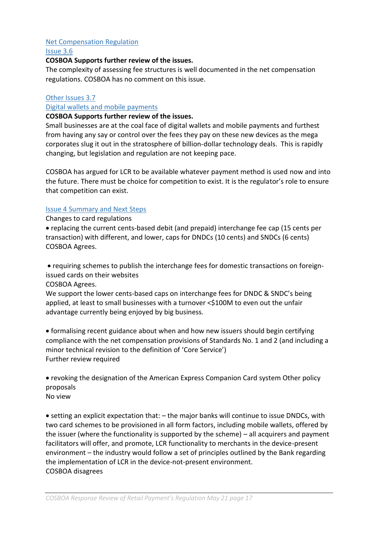#### Net Compensation Regulation

Issue 3.6

#### **COSBOA Supports further review of the issues.**

The complexity of assessing fee structures is well documented in the net compensation regulations. COSBOA has no comment on this issue.

#### Other Issues 3.7

#### Digital wallets and mobile payments

#### **COSBOA Supports further review of the issues.**

Small businesses are at the coal face of digital wallets and mobile payments and furthest from having any say or control over the fees they pay on these new devices as the mega corporates slug it out in the stratosphere of billion-dollar technology deals. This is rapidly changing, but legislation and regulation are not keeping pace.

COSBOA has argued for LCR to be available whatever payment method is used now and into the future. There must be choice for competition to exist. It is the regulator's role to ensure that competition can exist.

#### Issue 4 Summary and Next Steps

Changes to card regulations

• replacing the current cents-based debit (and prepaid) interchange fee cap (15 cents per transaction) with different, and lower, caps for DNDCs (10 cents) and SNDCs (6 cents) COSBOA Agrees.

• requiring schemes to publish the interchange fees for domestic transactions on foreignissued cards on their websites

COSBOA Agrees.

We support the lower cents-based caps on interchange fees for DNDC & SNDC's being applied, at least to small businesses with a turnover <\$100M to even out the unfair advantage currently being enjoyed by big business.

• formalising recent guidance about when and how new issuers should begin certifying compliance with the net compensation provisions of Standards No. 1 and 2 (and including a minor technical revision to the definition of 'Core Service') Further review required

• revoking the designation of the American Express Companion Card system Other policy proposals No view

• setting an explicit expectation that: – the major banks will continue to issue DNDCs, with two card schemes to be provisioned in all form factors, including mobile wallets, offered by the issuer (where the functionality is supported by the scheme) – all acquirers and payment facilitators will offer, and promote, LCR functionality to merchants in the device-present environment – the industry would follow a set of principles outlined by the Bank regarding the implementation of LCR in the device-not-present environment. COSBOA disagrees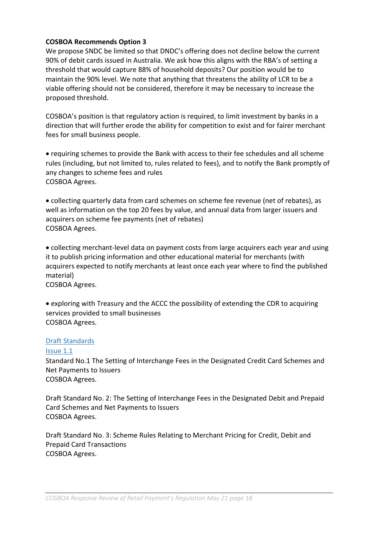#### **COSBOA Recommends Option 3**

We propose SNDC be limited so that DNDC's offering does not decline below the current 90% of debit cards issued in Australia. We ask how this aligns with the RBA's of setting a threshold that would capture 88% of household deposits? Our position would be to maintain the 90% level. We note that anything that threatens the ability of LCR to be a viable offering should not be considered, therefore it may be necessary to increase the proposed threshold.

COSBOA's position is that regulatory action is required, to limit investment by banks in a direction that will further erode the ability for competition to exist and for fairer merchant fees for small business people.

• requiring schemes to provide the Bank with access to their fee schedules and all scheme rules (including, but not limited to, rules related to fees), and to notify the Bank promptly of any changes to scheme fees and rules COSBOA Agrees.

• collecting quarterly data from card schemes on scheme fee revenue (net of rebates), as well as information on the top 20 fees by value, and annual data from larger issuers and acquirers on scheme fee payments (net of rebates) COSBOA Agrees.

• collecting merchant-level data on payment costs from large acquirers each year and using it to publish pricing information and other educational material for merchants (with acquirers expected to notify merchants at least once each year where to find the published material)

COSBOA Agrees.

• exploring with Treasury and the ACCC the possibility of extending the CDR to acquiring services provided to small businesses COSBOA Agrees.

#### Draft Standards

#### Issue 1.1

Standard No.1 The Setting of Interchange Fees in the Designated Credit Card Schemes and Net Payments to Issuers COSBOA Agrees.

Draft Standard No. 2: The Setting of Interchange Fees in the Designated Debit and Prepaid Card Schemes and Net Payments to Issuers COSBOA Agrees.

Draft Standard No. 3: Scheme Rules Relating to Merchant Pricing for Credit, Debit and Prepaid Card Transactions COSBOA Agrees.